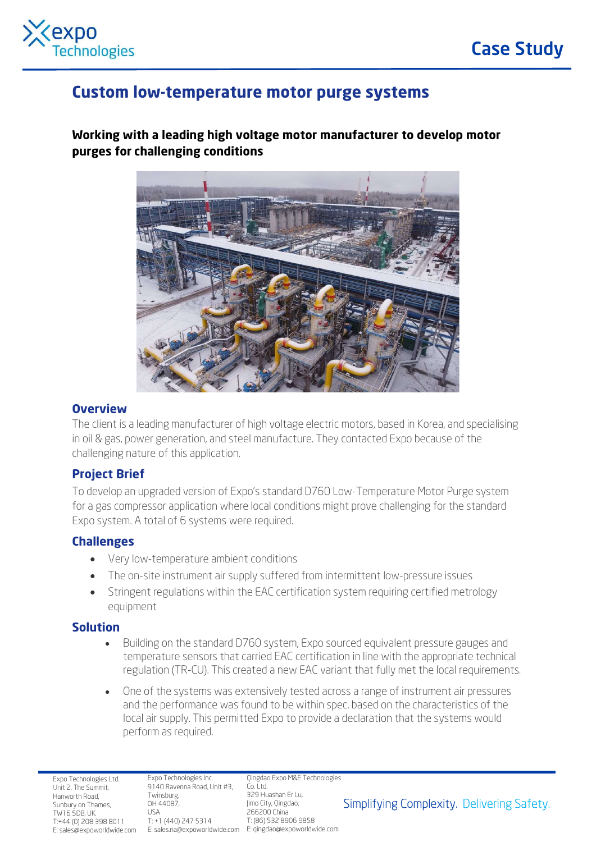

# Custom low-temperature motor purge systems

Working with a leading high voltage motor manufacturer to develop motor purges for challenging conditions



#### **Overview**

The client is a leading manufacturer of high voltage electric motors, based in Korea, and specialising in oil & gas, power generation, and steel manufacture. They contacted Expo because of the challenging nature of this application.

## Project Brief

To develop an upgraded version of Expo's standard D760 Low-Temperature Motor Purge system for a gas compressor application where local conditions might prove challenging for the standard Expo system. A total of 6 systems were required.

#### Challenges

- Very low-temperature ambient conditions
- The on-site instrument air supply suffered from intermittent low-pressure issues
- Stringent regulations within the EAC certification system requiring certified metrology equipment

#### Solution

- Building on the standard D760 system, Expo sourced equivalent pressure gauges and temperature sensors that carried EAC certification in line with the appropriate technical regulation (TR-CU). This created a new EAC variant that fully met the local requirements.
- One of the systems was extensively tested across a range of instrument air pressures and the performance was found to be within spec. based on the characteristics of the local air supply. This permitted Expo to provide a declaration that the systems would perform as required.

Expo Technologies Ltd. Unit 2, The Summit, Hanworth Road, Sunbury on Thames, TW16 5DB, UK. T:+44 (0) 208 398 8011

Expo Technologies Inc. 9140 Ravenna Road, Unit #3, Co. Ltd. Twinsburg, OH 44087, USA T: +1 (440) 247 5314

E: sales@expoworldwide.com E: sales.na@expoworldwide.com E: qingdao@expoworldwide.com Qingdao Expo M&E Technologies 329 Huashan Er Lu, Jimo City, Qingdao, 266200 China T: (86) 532 8906 9858

Simplifying Complexity. Delivering Safety.